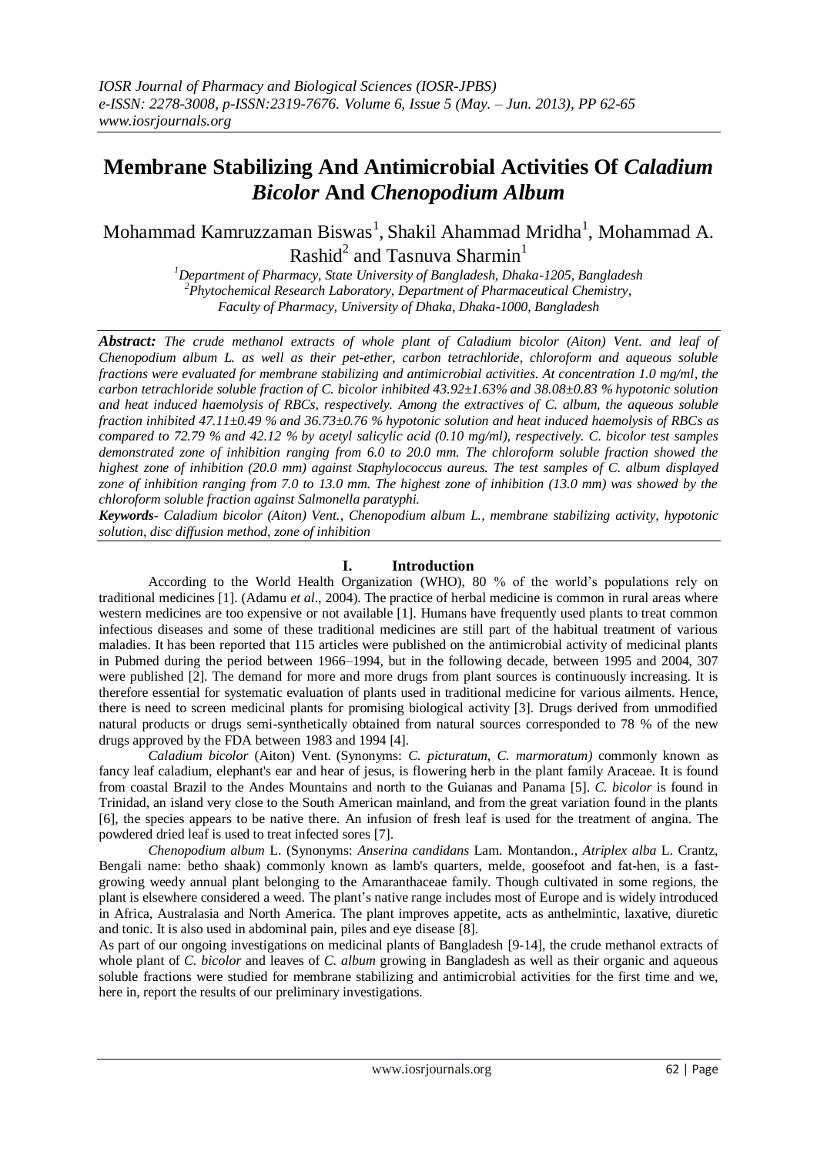# **Membrane Stabilizing And Antimicrobial Activities Of** *Caladium Bicolor* **And** *Chenopodium Album*

Mohammad Kamruzzaman Biswas $^{\rm l}$ , Shakil Ahammad Mridha $^{\rm l}$ , Mohammad A. Rashid $^2$  and Tasnuva Sharmin $^1$ 

> *<sup>1</sup>Department of Pharmacy, State University of Bangladesh, Dhaka-1205, Bangladesh <sup>2</sup>Phytochemical Research Laboratory, Department of Pharmaceutical Chemistry, Faculty of Pharmacy, University of Dhaka, Dhaka-1000, Bangladesh*

*Abstract: The crude methanol extracts of whole plant of Caladium bicolor (Aiton) Vent. and leaf of Chenopodium album L. as well as their pet-ether, carbon tetrachloride, chloroform and aqueous soluble fractions were evaluated for membrane stabilizing and antimicrobial activities. At concentration 1.0 mg/ml, the carbon tetrachloride soluble fraction of C. bicolor inhibited 43.92±1.63% and 38.08±0.83 % hypotonic solution and heat induced haemolysis of RBCs, respectively. Among the extractives of C. album, the aqueous soluble fraction inhibited 47.11±0.49 % and 36.73±0.76 % hypotonic solution and heat induced haemolysis of RBCs as compared to 72.79 % and 42.12 % by acetyl salicylic acid (0.10 mg/ml), respectively. C. bicolor test samples demonstrated zone of inhibition ranging from 6.0 to 20.0 mm. The chloroform soluble fraction showed the highest zone of inhibition (20.0 mm) against Staphylococcus aureus. The test samples of C. album displayed zone of inhibition ranging from 7.0 to 13.0 mm. The highest zone of inhibition (13.0 mm) was showed by the chloroform soluble fraction against Salmonella paratyphi.*

*Keywords- Caladium bicolor (Aiton) Vent., Chenopodium album L., membrane stabilizing activity, hypotonic solution, disc diffusion method, zone of inhibition*

# **I. Introduction**

According to the World Health Organization (WHO), 80 % of the world's populations rely on traditional medicines [1]. (Adamu *et al*., 2004). The practice of herbal medicine is common in rural areas where western medicines are too expensive or not available [1]. Humans have frequently used plants to treat common infectious diseases and some of these traditional medicines are still part of the habitual treatment of various maladies. It has been reported that 115 articles were published on the antimicrobial activity of medicinal plants in Pubmed during the period between 1966–1994, but in the following decade, between 1995 and 2004, 307 were published [2]. The demand for more and more drugs from plant sources is continuously increasing. It is therefore essential for systematic evaluation of plants used in traditional medicine for various ailments. Hence, there is need to screen medicinal plants for promising biological activity [3]. Drugs derived from unmodified natural products or drugs semi-synthetically obtained from natural sources corresponded to 78 % of the new drugs approved by the FDA between 1983 and 1994 [4].

*Caladium bicolor* (Aiton) Vent. (Synonyms: *C. picturatum, C. marmoratum)* commonly known as fancy leaf caladium, elephant's ear and hear of jesus, is flowering herb in the plant family Araceae. It is found from coastal Brazil to the Andes Mountains and north to the Guianas and Panama [5]. *C. bicolor* is found in Trinidad, an island very close to the South American mainland, and from the great variation found in the plants [6], the species appears to be native there. An infusion of fresh leaf is used for the treatment of angina. The powdered dried leaf is used to treat infected sores [7].

*Chenopodium album* L. (Synonyms: *Anserina candidans* Lam. Montandon., *Atriplex alba* L. Crantz, Bengali name: betho shaak) commonly known as lamb's quarters, melde, goosefoot and fat-hen, is a fastgrowing [weedy](http://en.wikipedia.org/wiki/Weed) [annual plant](http://en.wikipedia.org/wiki/Annual_plant) belonging to the [Amaranthaceae](http://en.wikipedia.org/wiki/Amaranthaceae) family. Though cultivated in some regions, the plant is elsewhere considered a weed. The plant's native range includes most of [Europe](http://en.wikipedia.org/wiki/Europe) and is widely introduced in [Africa,](http://en.wikipedia.org/wiki/Africa) [Australasia](http://en.wikipedia.org/wiki/Australasia) and [North America.](http://en.wikipedia.org/wiki/North_America) The plant improves appetite, acts as anthelmintic, laxative, diuretic and tonic. It is also used in abdominal pain, piles and eye disease [8].

As part of our ongoing investigations on medicinal plants of Bangladesh [9-14], the crude methanol extracts of whole plant of *C. bicolor* and leaves of *C. album* growing in Bangladesh as well as their organic and aqueous soluble fractions were studied for membrane stabilizing and antimicrobial activities for the first time and we, here in, report the results of our preliminary investigations.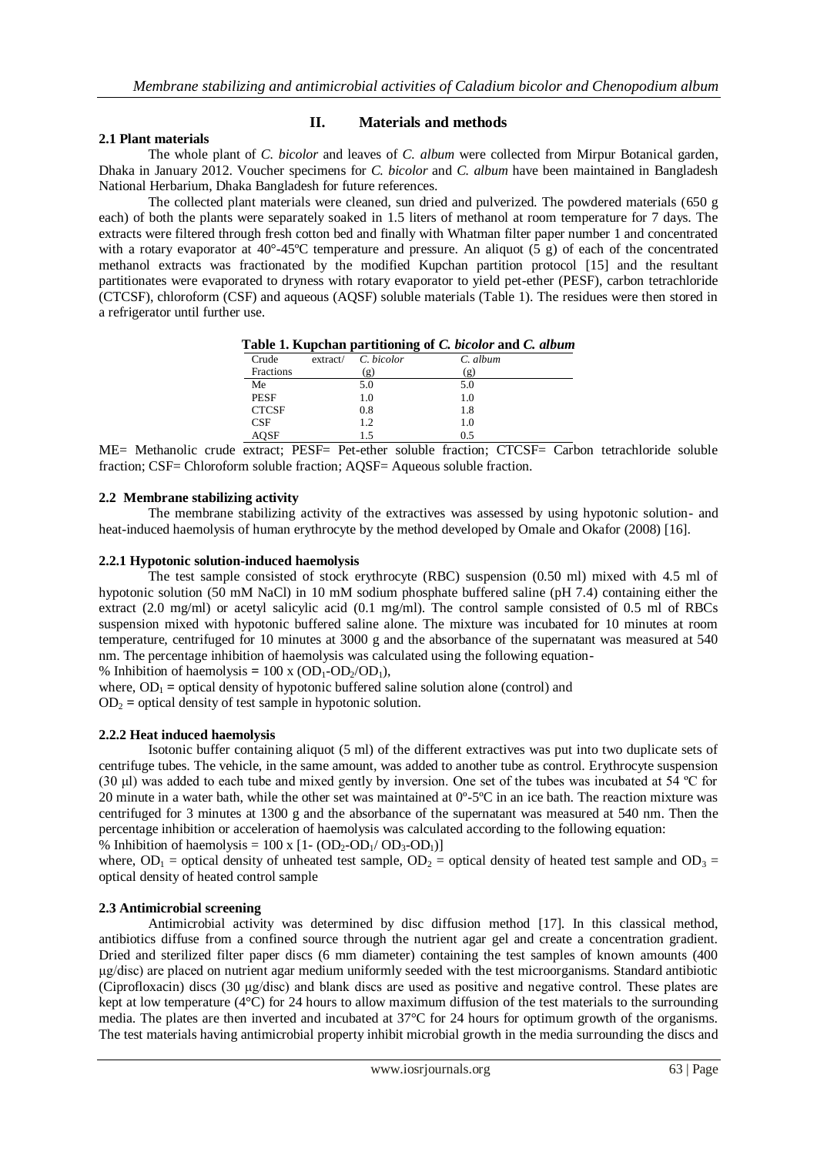#### **2.1 Plant materials**

## **II. Materials and methods**

The whole plant of *C. bicolor* and leaves of *C. album* were collected from Mirpur Botanical garden, Dhaka in January 2012. Voucher specimens for *C. bicolor* and *C. album* have been maintained in Bangladesh National Herbarium, Dhaka Bangladesh for future references.

The collected plant materials were cleaned, sun dried and pulverized. The powdered materials (650 g each) of both the plants were separately soaked in 1.5 liters of methanol at room temperature for 7 days. The extracts were filtered through fresh cotton bed and finally with Whatman filter paper number 1 and concentrated with a rotary evaporator at  $40^{\circ} - 45^{\circ}C$  temperature and pressure. An aliquot (5 g) of each of the concentrated methanol extracts was fractionated by the modified Kupchan partition protocol [15] and the resultant partitionates were evaporated to dryness with rotary evaporator to yield pet-ether (PESF), carbon tetrachloride (CTCSF), chloroform (CSF) and aqueous (AQSF) soluble materials (Table 1). The residues were then stored in a refrigerator until further use.

|              |                            | l able 1. Kupchan partitioning of C. <i>bicolor</i> and C. <i>album</i> |
|--------------|----------------------------|-------------------------------------------------------------------------|
| Crude        | extract / C. bicolor       | C. album                                                                |
| Fractions    | $\left( \mathbf{g}\right)$ | ( ջ)                                                                    |
| Me           | 5.0                        | 5.0                                                                     |
| <b>PESF</b>  | 1.0                        | 1.0                                                                     |
| <b>CTCSF</b> | 0.8                        | 1.8                                                                     |

| Table 1. Kupchan partitioning of C. bicolor and C. album |  |  |  |  |  |  |  |
|----------------------------------------------------------|--|--|--|--|--|--|--|
|----------------------------------------------------------|--|--|--|--|--|--|--|

ME= Methanolic crude extract; PESF= Pet-ether soluble fraction; CTCSF= Carbon tetrachloride soluble fraction; CSF= Chloroform soluble fraction; AQSF= Aqueous soluble fraction.

CSF 1.2 1.0 AQSF 1.5 0.5

#### **2.2 Membrane stabilizing activity**

The membrane stabilizing activity of the extractives was assessed by using hypotonic solution- and heat-induced haemolysis of human erythrocyte by the method developed by Omale and Okafor (2008) [16].

#### **2.2.1 Hypotonic solution-induced haemolysis**

The test sample consisted of stock erythrocyte (RBC) suspension (0.50 ml) mixed with 4.5 ml of hypotonic solution (50 mM NaCl) in 10 mM sodium phosphate buffered saline (pH 7.4) containing either the extract (2.0 mg/ml) or acetyl salicylic acid (0.1 mg/ml). The control sample consisted of 0.5 ml of RBCs suspension mixed with hypotonic buffered saline alone. The mixture was incubated for 10 minutes at room temperature, centrifuged for 10 minutes at 3000 g and the absorbance of the supernatant was measured at 540 nm. The percentage inhibition of haemolysis was calculated using the following equation-

% Inhibition of haemolysis =  $100 \times (OD_1\text{-}OD_2/OD_1)$ ,

where,  $OD_1$  = optical density of hypotonic buffered saline solution alone (control) and  $OD<sub>2</sub>$  = optical density of test sample in hypotonic solution.

#### **2.2.2 Heat induced haemolysis**

Isotonic buffer containing aliquot (5 ml) of the different extractives was put into two duplicate sets of centrifuge tubes. The vehicle, in the same amount, was added to another tube as control. Erythrocyte suspension (30 μl) was added to each tube and mixed gently by inversion. One set of the tubes was incubated at 54 ºC for 20 minute in a water bath, while the other set was maintained at  $0^{\circ}$ -5 $^{\circ}$ C in an ice bath. The reaction mixture was centrifuged for 3 minutes at 1300 g and the absorbance of the supernatant was measured at 540 nm. Then the percentage inhibition or acceleration of haemolysis was calculated according to the following equation:

% Inhibition of haemolysis =  $100 \times [1 - (OD_2-OD_1/OD_3-OD_1)]$ where,  $OD_1$  = optical density of unheated test sample,  $OD_2$  = optical density of heated test sample and  $OD_3$  = optical density of heated control sample

#### **2.3 Antimicrobial screening**

Antimicrobial activity was determined by disc diffusion method [17]. In this classical method, antibiotics diffuse from a confined source through the nutrient agar gel and create a concentration gradient. Dried and sterilized filter paper discs (6 mm diameter) containing the test samples of known amounts (400 μg/disc) are placed on nutrient agar medium uniformly seeded with the test microorganisms. Standard antibiotic (Ciprofloxacin) discs (30 μg/disc) and blank discs are used as positive and negative control. These plates are kept at low temperature ( $4^{\circ}$ C) for 24 hours to allow maximum diffusion of the test materials to the surrounding media. The plates are then inverted and incubated at 37°C for 24 hours for optimum growth of the organisms. The test materials having antimicrobial property inhibit microbial growth in the media surrounding the discs and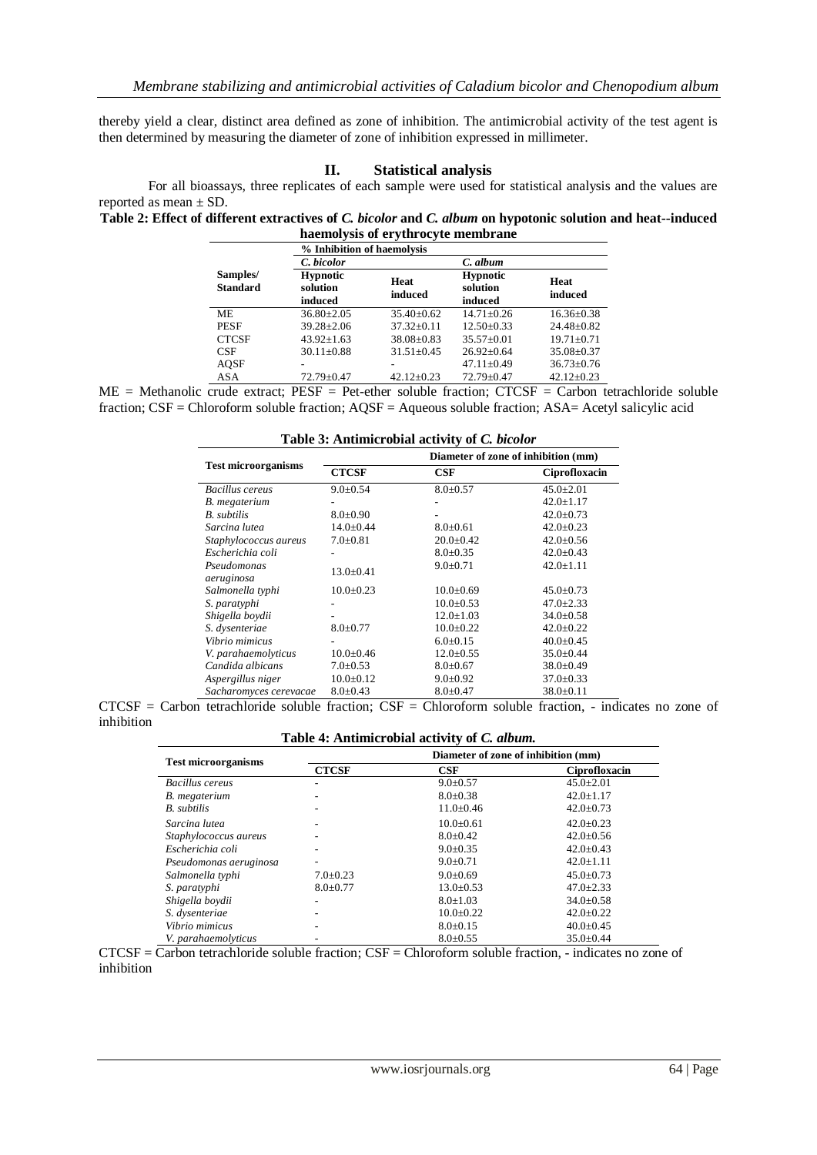thereby yield a clear, distinct area defined as zone of inhibition. The antimicrobial activity of the test agent is then determined by measuring the diameter of zone of inhibition expressed in millimeter.

#### **II. Statistical analysis**

For all bioassays, three replicates of each sample were used for statistical analysis and the values are reported as mean ± SD.

**Table 2: Effect of different extractives of** *C. bicolor* **and** *C. album* **on hypotonic solution and heat--induced haemolysis of erythrocyte membrane**

|                             | % Inhibition of haemolysis             |                  |                                        |                  |
|-----------------------------|----------------------------------------|------------------|----------------------------------------|------------------|
|                             | C. bicolor                             |                  | C. album                               |                  |
| Samples/<br><b>Standard</b> | <b>Hypnotic</b><br>solution<br>induced | Heat<br>induced  | <b>Hypnotic</b><br>solution<br>induced | Heat<br>induced  |
| ME                          | $36.80 \pm 2.05$                       | $35.40 \pm 0.62$ | $14.71 + 0.26$                         | $16.36 \pm 0.38$ |
| <b>PESF</b>                 | $39.28 + 2.06$                         | $37.32 + 0.11$   | $12.50 + 0.33$                         | $24.48 \pm 0.82$ |
| <b>CTCSF</b>                | $43.92 \pm 1.63$                       | $38.08 \pm 0.83$ | $35.57+0.01$                           | $19.71 \pm 0.71$ |
| CSE                         | $30.11 \pm 0.88$                       | $31.51 \pm 0.45$ | $26.92 \pm 0.64$                       | $35.08 \pm 0.37$ |
| AQSF                        | -                                      |                  | $47.11 \pm 0.49$                       | $36.73 \pm 0.76$ |
| <b>ASA</b>                  | $72.79 \pm 0.47$                       | $42.12 + 0.23$   | $72.79 + 0.47$                         | $42.12+0.23$     |

ME = Methanolic crude extract; PESF = Pet-ether soluble fraction; CTCSF = Carbon tetrachloride soluble fraction; CSF = Chloroform soluble fraction; AQSF = Aqueous soluble fraction; ASA= Acetyl salicylic acid

| Table 3: Antimicrobial activity of C. bicolor |                                     |                 |                 |  |  |
|-----------------------------------------------|-------------------------------------|-----------------|-----------------|--|--|
|                                               | Diameter of zone of inhibition (mm) |                 |                 |  |  |
| <b>Test microorganisms</b>                    | <b>CTCSF</b>                        | CSF             | Ciprofloxacin   |  |  |
| <b>Bacillus cereus</b>                        | $9.0 \pm 0.54$                      | $8.0 \pm 0.57$  | $45.0 \pm 2.01$ |  |  |
| B. megaterium                                 |                                     |                 | $42.0 \pm 1.17$ |  |  |
| <b>B.</b> subtilis                            | $8.0+0.90$                          |                 | $42.0 \pm 0.73$ |  |  |
| Sarcina lutea                                 | $14.0 \pm 0.44$                     | $8.0 \pm 0.61$  | $42.0 \pm 0.23$ |  |  |
| Staphylococcus aureus                         | $7.0 \pm 0.81$                      | $20.0+0.42$     | $42.0 \pm 0.56$ |  |  |
| Escherichia coli                              |                                     | $8.0+0.35$      | $42.0 \pm 0.43$ |  |  |
| Pseudomonas<br>aeruginosa                     | $13.0 \pm 0.41$                     | $9.0 \pm 0.71$  | $42.0 \pm 1.11$ |  |  |
| Salmonella typhi                              | $10.0+0.23$                         | $10.0+0.69$     | $45.0 \pm 0.73$ |  |  |
| S. paratyphi                                  |                                     | $10.0+0.53$     | $47.0 \pm 2.33$ |  |  |
| Shigella boydii                               |                                     | $12.0 \pm 1.03$ | $34.0 \pm 0.58$ |  |  |
| S. dysenteriae                                | $8.0 \pm 0.77$                      | $10.0+0.22$     | $42.0 \pm 0.22$ |  |  |
| Vibrio mimicus                                |                                     | $6.0+0.15$      | $40.0 \pm 0.45$ |  |  |
| V. parahaemolyticus                           | $10.0 \pm 0.46$                     | $12.0 \pm 0.55$ | $35.0 \pm 0.44$ |  |  |
| Candida albicans                              | $7.0 \pm 0.53$                      | $8.0+0.67$      | $38.0 \pm 0.49$ |  |  |
| Aspergillus niger                             | $10.0 \pm 0.12$                     | $9.0 \pm 0.92$  | $37.0 \pm 0.33$ |  |  |
| Sacharomyces cerevacae                        | $8.0+0.43$                          | $8.0+0.47$      | $38.0 \pm 0.11$ |  |  |

 $CTCSF = Carbon$  tetrachloride soluble fraction;  $CSF = Chloroform$  soluble fraction, - indicates no zone of inhibition

#### **Table 4: Antimicrobial activity of** *C. album.*

| <b>Test microorganisms</b> | Diameter of zone of inhibition (mm) |                 |                 |  |
|----------------------------|-------------------------------------|-----------------|-----------------|--|
|                            | <b>CTCSF</b>                        | CSF             | Ciprofloxacin   |  |
| Bacillus cereus            |                                     | $9.0 \pm 0.57$  | $45.0 \pm 2.01$ |  |
| B. megaterium              | $\overline{\phantom{a}}$            | $8.0 \pm 0.38$  | $42.0 \pm 1.17$ |  |
| <b>B.</b> subtilis         |                                     | $11.0 \pm 0.46$ | $42.0 \pm 0.73$ |  |
| Sarcina lutea              | $\overline{\phantom{a}}$            | $10.0+0.61$     | $42.0 \pm 0.23$ |  |
| Staphylococcus aureus      |                                     | $8.0 \pm 0.42$  | $42.0 \pm 0.56$ |  |
| Escherichia coli           | $\overline{\phantom{a}}$            | $9.0 \pm 0.35$  | $42.0 \pm 0.43$ |  |
| Pseudomonas aeruginosa     | $\overline{\phantom{a}}$            | $9.0 \pm 0.71$  | $42.0 \pm 1.11$ |  |
| Salmonella typhi           | $7.0 \pm 0.23$                      | $9.0 \pm 0.69$  | $45.0 \pm 0.73$ |  |
| S. paratyphi               | $8.0 \pm 0.77$                      | $13.0 \pm 0.53$ | $47.0 \pm 2.33$ |  |
| Shigella boydii            | $\overline{\phantom{a}}$            | $8.0 \pm 1.03$  | $34.0 \pm 0.58$ |  |
| S. dysenteriae             |                                     | $10.0+0.22$     | $42.0 \pm 0.22$ |  |
| Vibrio mimicus             |                                     | $8.0 \pm 0.15$  | $40.0 \pm 0.45$ |  |
| V. parahaemolyticus        |                                     | $8.0 \pm 0.55$  | $35.0 \pm 0.44$ |  |

 $CTCSF = \overline{Carbon tetrachloride soluble fraction}$ ;  $CSF = \overline{Chloroform soluble fraction}$ , - indicates no zone of inhibition